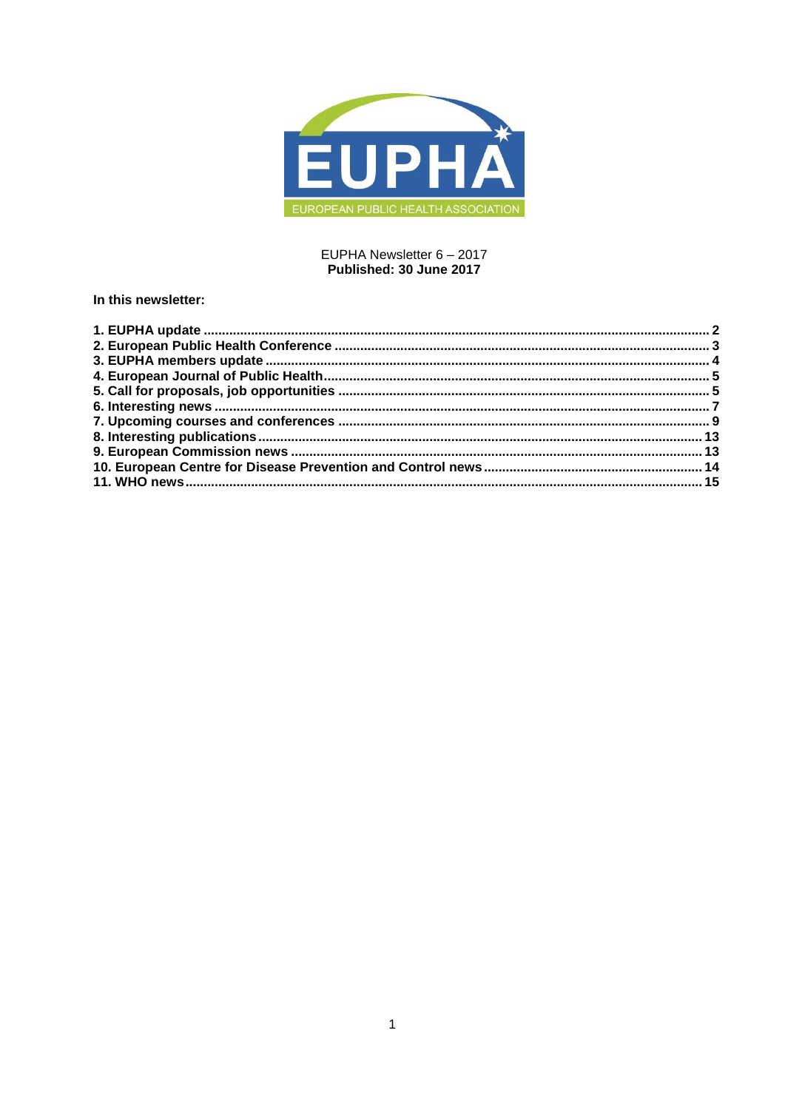

## EUPHA Newsletter 6 - 2017 Published: 30 June 2017

## In this newsletter: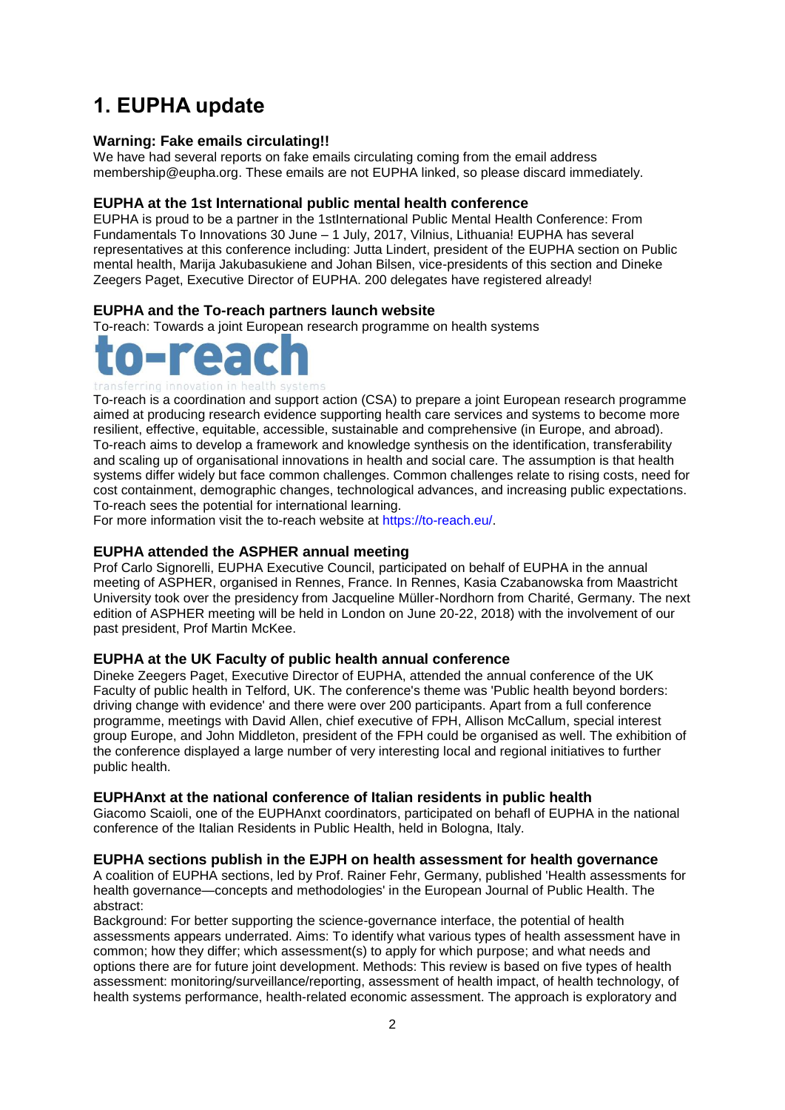# <span id="page-1-0"></span>**1. EUPHA update**

## **Warning: Fake emails circulating!!**

We have had several reports on fake emails circulating coming from the email address membership@eupha.org. These emails are not EUPHA linked, so please discard immediately.

## **EUPHA at the 1st International public mental health conference**

EUPHA is proud to be a partner in the 1stInternational Public Mental Health Conference: From Fundamentals To Innovations 30 June – 1 July, 2017, Vilnius, Lithuania! EUPHA has several representatives at this conference including: Jutta Lindert, president of the EUPHA section on Public mental health, Marija Jakubasukiene and Johan Bilsen, vice-presidents of this section and Dineke Zeegers Paget, Executive Director of EUPHA. 200 delegates have registered already!

## **EUPHA and the To-reach partners launch website**

To-reach: Towards a joint European research programme on health systems



#### transferring innovation in health systems

To-reach is a coordination and support action (CSA) to prepare a joint European research programme aimed at producing research evidence supporting health care services and systems to become more resilient, effective, equitable, accessible, sustainable and comprehensive (in Europe, and abroad). To-reach aims to develop a framework and knowledge synthesis on the identification, transferability and scaling up of organisational innovations in health and social care. The assumption is that health systems differ widely but face common challenges. Common challenges relate to rising costs, need for cost containment, demographic changes, technological advances, and increasing public expectations. To-reach sees the potential for international learning.

For more information visit the to-reach website at [https://to-reach.eu/.](https://to-reach.eu/)

## **EUPHA attended the ASPHER annual meeting**

Prof Carlo Signorelli, EUPHA Executive Council, participated on behalf of EUPHA in the annual meeting of ASPHER, organised in Rennes, France. In Rennes, Kasia Czabanowska from Maastricht University took over the presidency from Jacqueline Müller-Nordhorn from Charité, Germany. The next edition of ASPHER meeting will be held in London on June 20-22, 2018) with the involvement of our past president, Prof Martin McKee.

## **EUPHA at the UK Faculty of public health annual conference**

Dineke Zeegers Paget, Executive Director of EUPHA, attended the annual conference of the UK Faculty of public health in Telford, UK. The conference's theme was 'Public health beyond borders: driving change with evidence' and there were over 200 participants. Apart from a full conference programme, meetings with David Allen, chief executive of FPH, Allison McCallum, special interest group Europe, and John Middleton, president of the FPH could be organised as well. The exhibition of the conference displayed a large number of very interesting local and regional initiatives to further public health.

## **EUPHAnxt at the national conference of Italian residents in public health**

Giacomo Scaioli, one of the EUPHAnxt coordinators, participated on behafl of EUPHA in the national conference of the Italian Residents in Public Health, held in Bologna, Italy.

## **EUPHA sections publish in the EJPH on health assessment for health governance**

A coalition of EUPHA sections, led by Prof. Rainer Fehr, Germany, published 'Health assessments for health governance—concepts and methodologies' in the European Journal of Public Health. The abstract:

Background: For better supporting the science-governance interface, the potential of health assessments appears underrated. Aims: To identify what various types of health assessment have in common; how they differ; which assessment(s) to apply for which purpose; and what needs and options there are for future joint development. Methods: This review is based on five types of health assessment: monitoring/surveillance/reporting, assessment of health impact, of health technology, of health systems performance, health-related economic assessment. The approach is exploratory and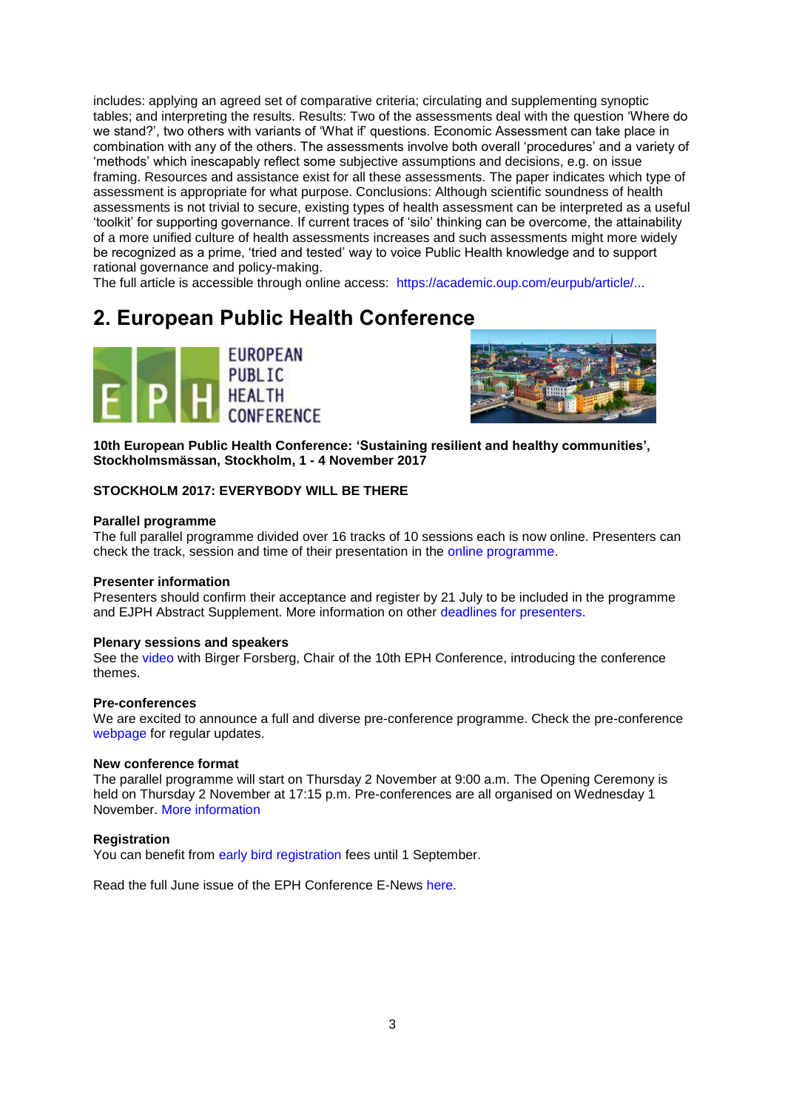includes: applying an agreed set of comparative criteria; circulating and supplementing synoptic tables; and interpreting the results. Results: Two of the assessments deal with the question 'Where do we stand?', two others with variants of 'What if' questions. Economic Assessment can take place in combination with any of the others. The assessments involve both overall 'procedures' and a variety of ‗methods' which inescapably reflect some subjective assumptions and decisions, e.g. on issue framing. Resources and assistance exist for all these assessments. The paper indicates which type of assessment is appropriate for what purpose. Conclusions: Although scientific soundness of health assessments is not trivial to secure, existing types of health assessment can be interpreted as a useful ‗toolkit' for supporting governance. If current traces of ‗silo' thinking can be overcome, the attainability of a more unified culture of health assessments increases and such assessments might more widely be recognized as a prime, 'tried and tested' way to voice Public Health knowledge and to support rational governance and policy-making.

The full article is accessible through online access: [https://academic.oup.com/eurpub/article/...](https://academic.oup.com/eurpub/article/doi/10.1093/eurpub/ckx062/3861126/Health-assessments-for-health-governanceconcepts?guestAccessKey=7c25f697-c70e-4fad-bab4-6f5621b4208e)

## <span id="page-2-0"></span>**2. European Public Health Conference**





**10th European Public Health Conference: 'Sustaining resilient and healthy communities', Stockholmsmässan, Stockholm, 1 - 4 November 2017**

#### **STOCKHOLM 2017: EVERYBODY WILL BE THERE**

#### **Parallel programme**

The full parallel programme divided over 16 tracks of 10 sessions each is now online. Presenters can check the track, session and time of their presentation in the [online programme.](https://ephconference.eu/dynamic-programme-4)

#### **Presenter information**

Presenters should confirm their acceptance and register by 21 July to be included in the programme and EJPH Abstract Supplement. More information on other [deadlines for presenters.](https://ephconference.eu/deadlines-stockholm-2017-316)

#### **Plenary sessions and speakers**

See the [video](https://www.youtube.com/watch?v=h0wIE5J7Qow) with Birger Forsberg, Chair of the 10th EPH Conference, introducing the conference themes.

#### **Pre-conferences**

We are excited to announce a full and diverse pre-conference programme. Check the pre-conference [webpage](https://ephconference.eu/2017-pre-conference-programme-327) for regular updates.

#### **New conference format**

The parallel programme will start on Thursday 2 November at 9:00 a.m. The Opening Ceremony is held on Thursday 2 November at 17:15 p.m. Pre-conferences are all organised on Wednesday 1 November. [More information](https://ephconference.eu/2017-conference-programme-at-a-glance-302)

#### **Registration**

You can benefit from [early bird registration](https://ephconference.eu/registration-2017---register-314) fees until 1 September.

Read the full June issue of the EPH Conference E-News [here.](https://ephconference.eu/eNews-and-Newsletters-309)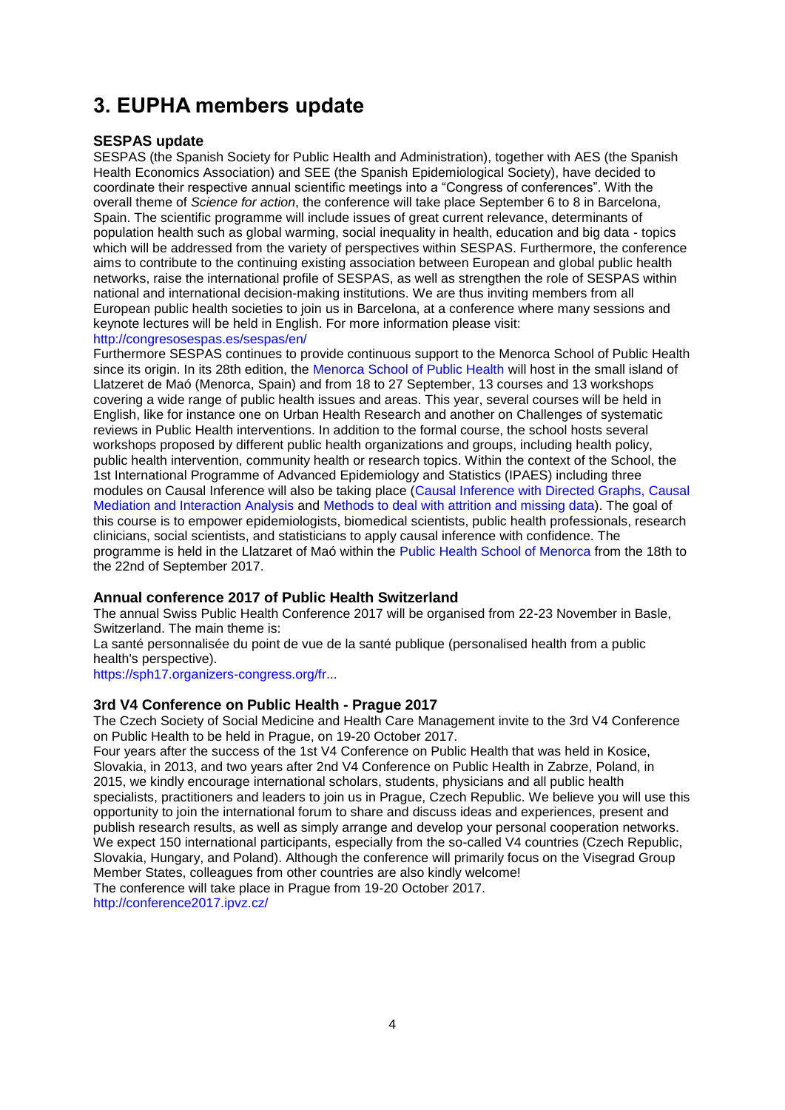# <span id="page-3-0"></span>**3. EUPHA members update**

## **SESPAS update**

SESPAS (the Spanish Society for Public Health and Administration), together with AES (the Spanish Health Economics Association) and SEE (the Spanish Epidemiological Society), have decided to coordinate their respective annual scientific meetings into a "Congress of conferences". With the overall theme of *Science for action*, the conference will take place September 6 to 8 in Barcelona, Spain. The scientific programme will include issues of great current relevance, determinants of population health such as global warming, social inequality in health, education and big data - topics which will be addressed from the variety of perspectives within SESPAS. Furthermore, the conference aims to contribute to the continuing existing association between European and global public health networks, raise the international profile of SESPAS, as well as strengthen the role of SESPAS within national and international decision-making institutions. We are thus inviting members from all European public health societies to join us in Barcelona, at a conference where many sessions and keynote lectures will be held in English. For more information please visit: <http://congresosespas.es/sespas/en/>

Furthermore SESPAS continues to provide continuous support to the Menorca School of Public Health since its origin. In its 28th edition, the [Menorca School of Public Health](http://www.emsp.cime.es/) will host in the small island of Llatzeret de Maó (Menorca, Spain) and from 18 to 27 September, 13 courses and 13 workshops covering a wide range of public health issues and areas. This year, several courses will be held in English, like for instance one on Urban Health Research and another on Challenges of systematic reviews in Public Health interventions. In addition to the formal course, the school hosts several workshops proposed by different public health organizations and groups, including health policy, public health intervention, community health or research topics. Within the context of the School, the 1st International Programme of Advanced Epidemiology and Statistics (IPAES) including three modules on Causal Inference will also be taking place [\(Causal Inference with Directed Graphs,](http://www.ssc.wisc.edu/soc/faculty/show-person.php?person_id=388) [Causal](http://euphapedia.eupha.org/newsletter/https:/www.hsph.harvard.edu/tyler-vanderweele/)  [Mediation and Interaction Analysis](http://euphapedia.eupha.org/newsletter/https:/www.hsph.harvard.edu/tyler-vanderweele/) and Methods [to deal with attrition and missing data\)](http://euphapedia.eupha.org/newsletter/https:/www.isglobal.org/en/researcher?p_p_id=viewpersona_WAR_intranetportletandp_p_lifecycle=0andp_p_col_id=column-3andp_p_col_count=1and_viewpersona_WAR_intranetportlet_struts_action=%2Fview%2FpersonaViewand_viewpersona_WAR_intranetportlet_personaId=18513). The goal of this course is to empower epidemiologists, biomedical scientists, public health professionals, research clinicians, social scientists, and statisticians to apply causal inference with confidence. The programme is held in the Llatzaret of Maó within the [Public Health School of Menorca](http://www.emsp.cime.es/publicacions/llistat.aspx?tipo=AG) from the 18th to the 22nd of September 2017.

## **Annual conference 2017 of Public Health Switzerland**

The annual Swiss Public Health Conference 2017 will be organised from 22-23 November in Basle, Switzerland. The main theme is:

La santé personnalisée du point de vue de la santé publique (personalised health from a public health's perspective).

[https://sph17.organizers-congress.org/fr...](https://sph17.organizers-congress.org/frontend/index.php?sub=89)

## **3rd V4 Conference on Public Health - Prague 2017**

The Czech Society of Social Medicine and Health Care Management invite to the 3rd V4 Conference on Public Health to be held in Prague, on 19-20 October 2017.

Four years after the success of the 1st V4 Conference on Public Health that was held in Kosice, Slovakia, in 2013, and two years after 2nd V4 Conference on Public Health in Zabrze, Poland, in 2015, we kindly encourage international scholars, students, physicians and all public health specialists, practitioners and leaders to join us in Prague, Czech Republic. We believe you will use this opportunity to join the international forum to share and discuss ideas and experiences, present and publish research results, as well as simply arrange and develop your personal cooperation networks. We expect 150 international participants, especially from the so-called V4 countries (Czech Republic, Slovakia, Hungary, and Poland). Although the conference will primarily focus on the Visegrad Group Member States, colleagues from other countries are also kindly welcome!

The conference will take place in Prague from 19-20 October 2017. <http://conference2017.ipvz.cz/>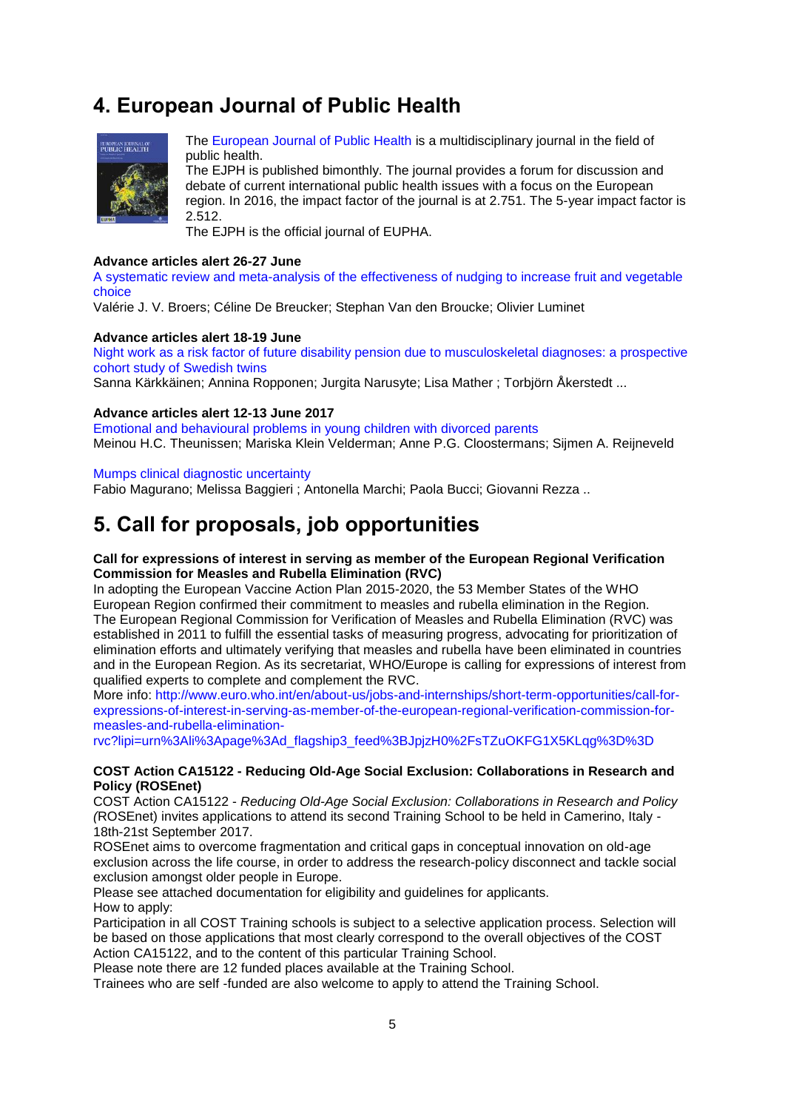# <span id="page-4-0"></span>**4. European Journal of Public Health**



[The European Journal of Public Health](http://eurpub.oxfordjournals.org/) is a multidisciplinary journal in the field of public health.

The EJPH is published bimonthly. The journal provides a forum for discussion and debate of current international public health issues with a focus on the European region. In 2016, the impact factor of the journal is at 2.751. The 5-year impact factor is 2.512.

The EJPH is the official journal of EUPHA.

#### **Advance articles alert 26-27 June**

A systematic review and meta-analysis of [the effectiveness of nudging to increase fruit and vegetable](http://click.skem1.com/click/hb6lc-b3d7i9-6nsjr1i4/)  [choice](http://click.skem1.com/click/hb6lc-b3d7i9-6nsjr1i4/)

Valérie J. V. Broers; Céline De Breucker; Stephan Van den Broucke; Olivier Luminet

#### **Advance articles alert 18-19 June**

[Night work as a risk factor of future disability pension due to musculoskeletal diagnoses: a prospective](http://click.skem1.com/click/h60si-b1bmj7-6nsjr1i6/)  [cohort study of Swedish twins](http://click.skem1.com/click/h60si-b1bmj7-6nsjr1i6/)

Sanna Kärkkäinen; Annina Ropponen; Jurgita Narusyte; Lisa Mather ; Torbjörn Åkerstedt ...

#### **Advance articles alert 12-13 June 2017**

[Emotional and behavioural problems in young children with divorced parents](http://click.skem1.com/click/h0svm-azy89w-6nsjr1i1/) Meinou H.C. Theunissen; Mariska Klein Velderman; Anne P.G. Cloostermans; Sijmen A. Reijneveld

#### [Mumps clinical diagnostic uncertainty](http://click.skem1.com/click/h0svm-azy8a1-6nsjr1i1/)

Fabio Magurano; Melissa Baggieri ; Antonella Marchi; Paola Bucci; Giovanni Rezza ..

## <span id="page-4-1"></span>**5. Call for proposals, job opportunities**

#### **Call for expressions of interest in serving as member of the European Regional Verification Commission for Measles and Rubella Elimination (RVC)**

In adopting the European Vaccine Action Plan 2015-2020, the 53 Member States of the WHO European Region confirmed their commitment to measles and rubella elimination in the Region. The European Regional Commission for Verification of Measles and Rubella Elimination (RVC) was established in 2011 to fulfill the essential tasks of measuring progress, advocating for prioritization of elimination efforts and ultimately verifying that measles and rubella have been eliminated in countries and in the European Region. As its secretariat, WHO/Europe is calling for expressions of interest from qualified experts to complete and complement the RVC.

More info: [http://www.euro.who.int/en/about-us/jobs-and-internships/short-term-opportunities/call-for](http://www.euro.who.int/en/about-us/jobs-and-internships/short-term-opportunities/call-for-expressions-of-interest-in-serving-as-member-of-the-european-regional-verification-commission-for-measles-and-rubella-elimination-rvc?lipi=urn%3Ali%3Apage%3Ad_flagship3_feed%3BJpjzH0%2FsTZuOKFG1X5KLqg%3D%3D)[expressions-of-interest-in-serving-as-member-of-the-european-regional-verification-commission-for](http://www.euro.who.int/en/about-us/jobs-and-internships/short-term-opportunities/call-for-expressions-of-interest-in-serving-as-member-of-the-european-regional-verification-commission-for-measles-and-rubella-elimination-rvc?lipi=urn%3Ali%3Apage%3Ad_flagship3_feed%3BJpjzH0%2FsTZuOKFG1X5KLqg%3D%3D)[measles-and-rubella-elimination-](http://www.euro.who.int/en/about-us/jobs-and-internships/short-term-opportunities/call-for-expressions-of-interest-in-serving-as-member-of-the-european-regional-verification-commission-for-measles-and-rubella-elimination-rvc?lipi=urn%3Ali%3Apage%3Ad_flagship3_feed%3BJpjzH0%2FsTZuOKFG1X5KLqg%3D%3D)

[rvc?lipi=urn%3Ali%3Apage%3Ad\\_flagship3\\_feed%3BJpjzH0%2FsTZuOKFG1X5KLqg%3D%3D](http://www.euro.who.int/en/about-us/jobs-and-internships/short-term-opportunities/call-for-expressions-of-interest-in-serving-as-member-of-the-european-regional-verification-commission-for-measles-and-rubella-elimination-rvc?lipi=urn%3Ali%3Apage%3Ad_flagship3_feed%3BJpjzH0%2FsTZuOKFG1X5KLqg%3D%3D)

#### **COST Action CA15122 - Reducing Old-Age Social Exclusion: Collaborations in Research and Policy (ROSEnet)**

COST Action CA15122 - *Reducing Old-Age Social Exclusion: Collaborations in Research and Policy (*ROSEnet) invites applications to attend its second Training School to be held in Camerino, Italy - 18th-21st September 2017.

ROSEnet aims to overcome fragmentation and critical gaps in conceptual innovation on old-age exclusion across the life course, in order to address the research-policy disconnect and tackle social exclusion amongst older people in Europe.

Please see attached documentation for eligibility and guidelines for applicants. How to apply:

Participation in all COST Training schools is subject to a selective application process. Selection will be based on those applications that most clearly correspond to the overall objectives of the COST Action CA15122, and to the content of this particular Training School.

Please note there are 12 funded places available at the Training School.

Trainees who are self -funded are also welcome to apply to attend the Training School.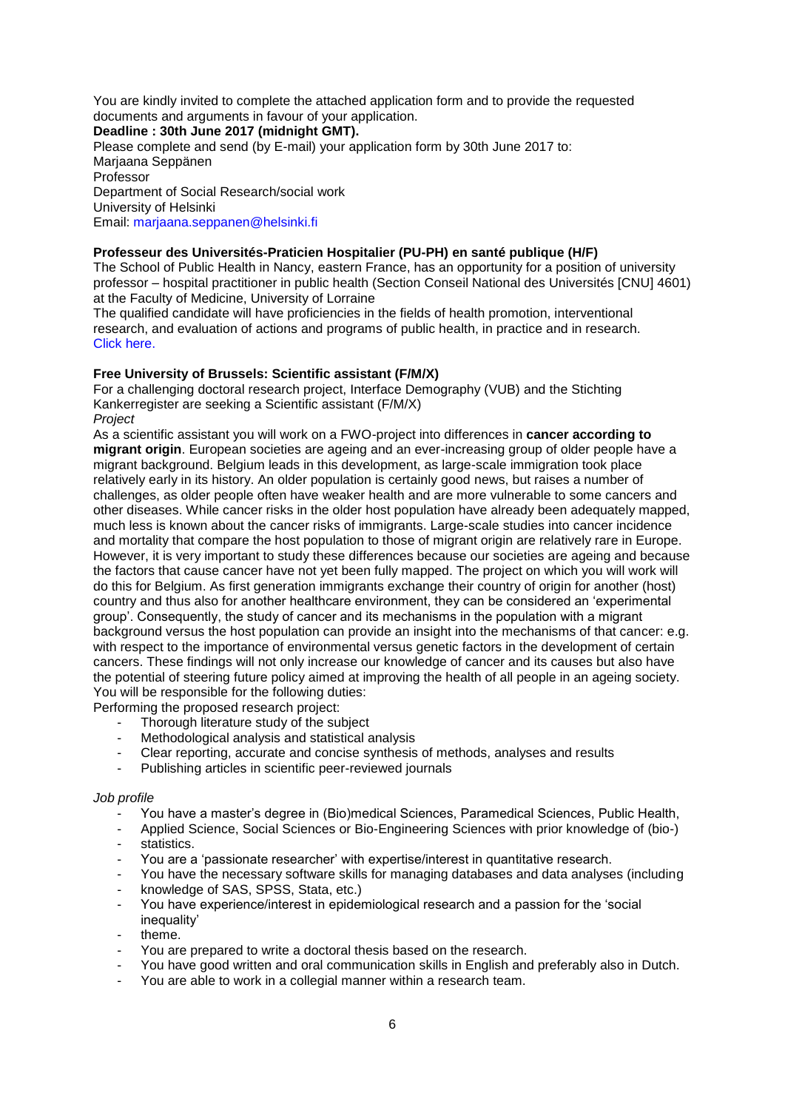You are kindly invited to complete the attached application form and to provide the requested documents and arguments in favour of your application.

**Deadline : 30th June 2017 (midnight GMT).** Please complete and send (by E-mail) your application form by 30th June 2017 to: Marjaana Seppänen Professor Department of Social Research/social work University of Helsinki Email: [marjaana.seppanen@helsinki.fi](mailto:marjaana.seppanen@helsinki.fi)

#### **Professeur des Universités-Praticien Hospitalier (PU-PH) en santé publique (H/F)**

The School of Public Health in Nancy, eastern France, has an opportunity for a position of university professor – hospital practitioner in public health (Section Conseil National des Universités [CNU] 4601) at the Faculty of Medicine, University of Lorraine

The qualified candidate will have proficiencies in the fields of health promotion, interventional research, and evaluation of actions and programs of public health, in practice and in research. Click [here.](http://www.sante-pub.u-nancy.fr/esp/uploads/Offres%20emploi/Poste%20de%20PU-PH%20en%20santé%20publique%204601%20à%20Nancy_v3-Eng.pdf)

#### **Free University of Brussels: Scientific assistant (F/M/X)**

For a challenging doctoral research project, Interface Demography (VUB) and the Stichting Kankerregister are seeking a Scientific assistant (F/M/X) *Project*

As a scientific assistant you will work on a FWO-project into differences in **cancer according to migrant origin**. European societies are ageing and an ever-increasing group of older people have a migrant background. Belgium leads in this development, as large-scale immigration took place relatively early in its history. An older population is certainly good news, but raises a number of challenges, as older people often have weaker health and are more vulnerable to some cancers and other diseases. While cancer risks in the older host population have already been adequately mapped, much less is known about the cancer risks of immigrants. Large-scale studies into cancer incidence and mortality that compare the host population to those of migrant origin are relatively rare in Europe. However, it is very important to study these differences because our societies are ageing and because the factors that cause cancer have not yet been fully mapped. The project on which you will work will do this for Belgium. As first generation immigrants exchange their country of origin for another (host) country and thus also for another healthcare environment, they can be considered an 'experimental group'. Consequently, the study of cancer and its mechanisms in the population with a migrant background versus the host population can provide an insight into the mechanisms of that cancer: e.g. with respect to the importance of environmental versus genetic factors in the development of certain cancers. These findings will not only increase our knowledge of cancer and its causes but also have the potential of steering future policy aimed at improving the health of all people in an ageing society. You will be responsible for the following duties:

Performing the proposed research project:

- Thorough literature study of the subject
- Methodological analysis and statistical analysis
- Clear reporting, accurate and concise synthesis of methods, analyses and results
- Publishing articles in scientific peer-reviewed journals

#### *Job profile*

- You have a master's degree in (Bio)medical Sciences, Paramedical Sciences, Public Health,
- Applied Science, Social Sciences or Bio-Engineering Sciences with prior knowledge of (bio-)
- statistics.
- You are a 'passionate researcher' with expertise/interest in quantitative research.
- You have the necessary software skills for managing databases and data analyses (including
- knowledge of SAS, SPSS, Stata, etc.)
- You have experience/interest in epidemiological research and a passion for the 'social inequality'
- theme.
- You are prepared to write a doctoral thesis based on the research.
- You have good written and oral communication skills in English and preferably also in Dutch.
- You are able to work in a collegial manner within a research team.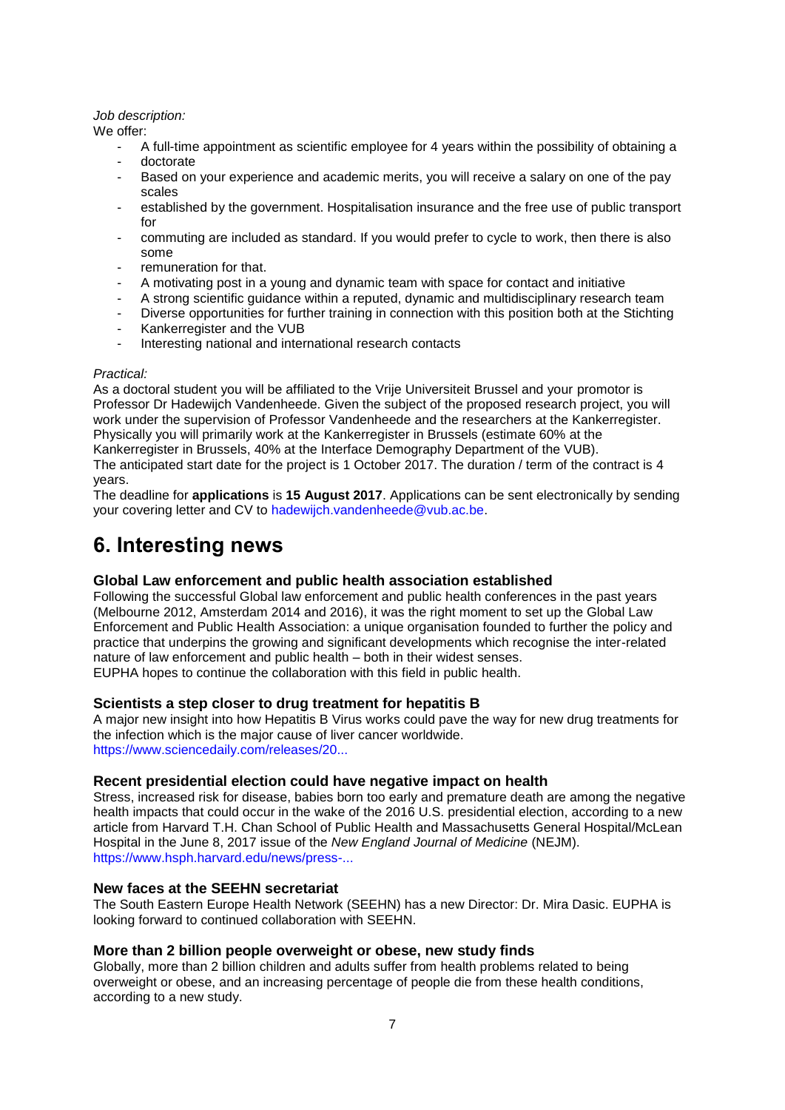#### *Job description:*

We offer:

- A full-time appointment as scientific employee for 4 years within the possibility of obtaining a
- doctorate
- Based on your experience and academic merits, you will receive a salary on one of the pay scales
- established by the government. Hospitalisation insurance and the free use of public transport for
- commuting are included as standard. If you would prefer to cycle to work, then there is also some
- remuneration for that.
- A motivating post in a young and dynamic team with space for contact and initiative
- A strong scientific guidance within a reputed, dynamic and multidisciplinary research team
- Diverse opportunities for further training in connection with this position both at the Stichting
- Kankerregister and the VUB
- Interesting national and international research contacts

#### *Practical:*

As a doctoral student you will be affiliated to the Vrije Universiteit Brussel and your promotor is Professor Dr Hadewijch Vandenheede. Given the subject of the proposed research project, you will work under the supervision of Professor Vandenheede and the researchers at the Kankerregister. Physically you will primarily work at the Kankerregister in Brussels (estimate 60% at the Kankerregister in Brussels, 40% at the Interface Demography Department of the VUB). The anticipated start date for the project is 1 October 2017. The duration / term of the contract is 4 years.

The deadline for **applications** is **15 August 2017**. Applications can be sent electronically by sending your covering letter and CV to [hadewijch.vandenheede@vub.ac.be.](mailto:hadewijch.vandenheede@vub.ac.be)

# <span id="page-6-0"></span>**6. Interesting news**

## **Global Law enforcement and public health association established**

Following the successful Global law enforcement and public health conferences in the past years (Melbourne 2012, Amsterdam 2014 and 2016), it was the right moment to set up the Global Law Enforcement and Public Health Association: a unique organisation founded to further the policy and practice that underpins the growing and significant developments which recognise the inter-related nature of law enforcement and public health – both in their widest senses. EUPHA hopes to continue the collaboration with this field in public health.

## **Scientists a step closer to drug treatment for hepatitis B**

A major new insight into how Hepatitis B Virus works could pave the way for new drug treatments for the infection which is the major cause of liver cancer worldwide. [https://www.sciencedaily.com/releases/20...](https://www.sciencedaily.com/releases/2017/06/170619125828.htm?utm_source=feedburner&utm_medium=email&utm_campaign=Feed%3A+sciencedaily%2Fscience_society%2Fpublic_health+%28Public+Health+News+--+Scien)

## **Recent presidential election could have negative impact on health**

Stress, increased risk for disease, babies born too early and premature death are among the negative health impacts that could occur in the wake of the 2016 U.S. presidential election, according to a new article from Harvard T.H. Chan School of Public Health and Massachusetts General Hospital/McLean Hospital in the June 8, 2017 issue of the *New England Journal of Medicine* (NEJM). [https://www.hsph.harvard.edu/news/press-...](https://www.hsph.harvard.edu/news/press-releases/recent-presidential-election-could-have-negative-impact-on-health/)

## **New faces at the SEEHN secretariat**

The South Eastern Europe Health Network (SEEHN) has a new Director: Dr. Mira Dasic. EUPHA is looking forward to continued collaboration with SEEHN.

## **More than 2 billion people overweight or obese, new study finds**

Globally, more than 2 billion children and adults suffer from health problems related to being overweight or obese, and an increasing percentage of people die from these health conditions, according to a new study.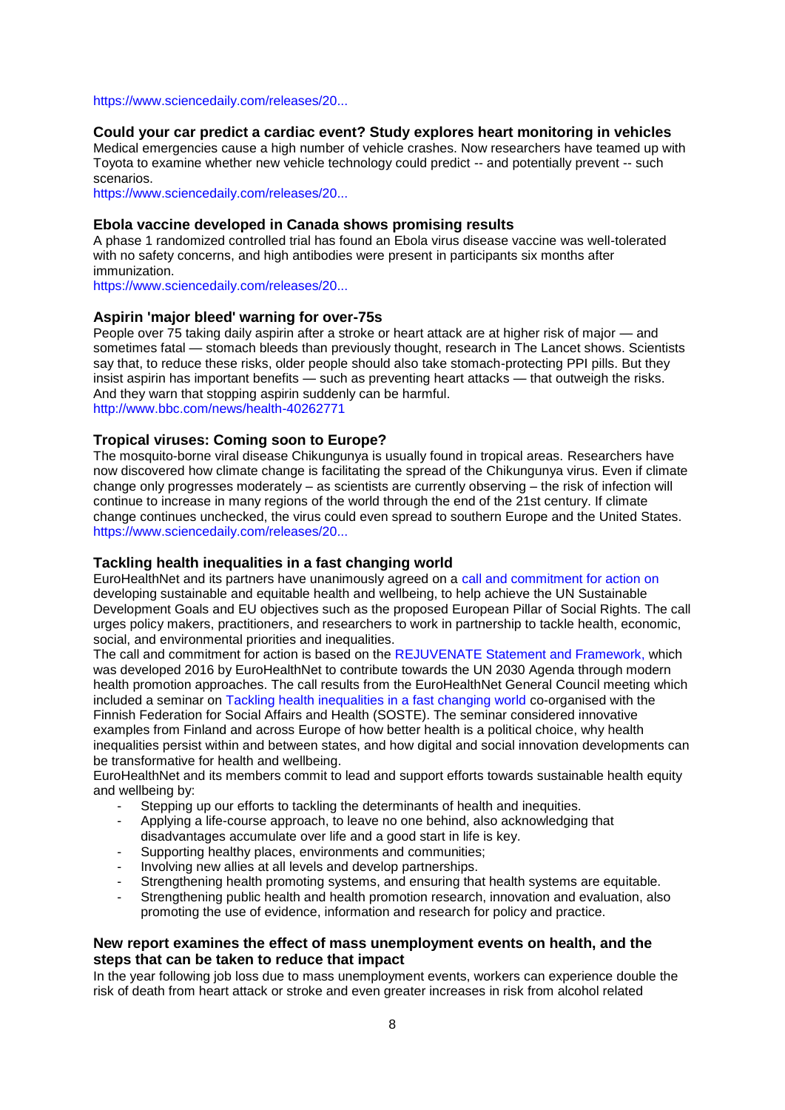#### [https://www.sciencedaily.com/releases/20...](https://www.sciencedaily.com/releases/2017/06/170612094128.htm?utm_source=feedburner&utm_medium=email&utm_campaign=Feed%3A+sciencedaily%2Fscience_society%2Fpublic_health+%28Public+Health+News+--+Scien)

#### **Could your car predict a cardiac event? Study explores heart monitoring in vehicles**

Medical emergencies cause a high number of vehicle crashes. Now researchers have teamed up with Toyota to examine whether new vehicle technology could predict -- and potentially prevent -- such scenarios.

[https://www.sciencedaily.com/releases/20...](https://www.sciencedaily.com/releases/2017/06/170606091029.htm?utm_source=feedburner&utm_medium=email&utm_campaign=Feed%3A+sciencedaily%2Fscience_society%2Fpublic_health+%28Public+Health+News+--+Scien)

#### **Ebola vaccine developed in Canada shows promising results**

A phase 1 randomized controlled trial has found an Ebola virus disease vaccine was well-tolerated with no safety concerns, and high antibodies were present in participants six months after immunization.

[https://www.sciencedaily.com/releases/20...](https://www.sciencedaily.com/releases/2017/06/170619092219.htm?utm_source=feedburner&utm_medium=email&utm_campaign=Feed%3A+sciencedaily%2Fscience_society%2Fpublic_health+%28Public+Health+News+--+Scien)

#### **Aspirin 'major bleed' warning for over-75s**

People over 75 taking daily aspirin after a stroke or heart attack are at higher risk of major — and sometimes fatal — stomach bleeds than previously thought, research in The Lancet shows. Scientists say that, to reduce these risks, older people should also take stomach-protecting PPI pills. But they insist aspirin has important benefits — such as preventing heart attacks — that outweigh the risks. And they warn that stopping aspirin suddenly can be harmful. <http://www.bbc.com/news/health-40262771>

#### **Tropical viruses: Coming soon to Europe?**

The mosquito-borne viral disease Chikungunya is usually found in tropical areas. Researchers have now discovered how climate change is facilitating the spread of the Chikungunya virus. Even if climate change only progresses moderately – as scientists are currently observing – the risk of infection will continue to increase in many regions of the world through the end of the 21st century. If climate change continues unchecked, the virus could even spread to southern Europe and the United States. [https://www.sciencedaily.com/releases/20...](https://www.sciencedaily.com/releases/2017/06/170623100621.htm?utm_source=feedburner&utm_medium=email&utm_campaign=Feed%3A+sciencedaily%2Fscience_society%2Fpublic_health+%28Public+Health+News+--+Scien)

#### **Tackling health inequalities in a fast changing world**

EuroHealthNet and its partners have unanimously agreed on a [call and commitment for action on](http://eurohealthnet.eu/sites/eurohealthnet.eu/files/publications/Call%20and%20commitment%20for%20action%20to%20take%20REJUVENATE%20forward%202017%20%E2%80%93%202020.pdf) developing sustainable and equitable health and wellbeing, to help achieve the UN Sustainable Development Goals and EU objectives such as the proposed European Pillar of Social Rights. The call urges policy makers, practitioners, and researchers to work in partnership to tackle health, economic, social, and environmental priorities and inequalities.

The call and commitment for action is based on the [REJUVENATE Statement and Framework,](http://eurohealthnet.eu/media/promoting-health-and-wellbeing-towards-2030-taking-ottawa-charter-forward-context-un) which was developed 2016 by EuroHealthNet to contribute towards the UN 2030 Agenda through modern health promotion approaches. The call results from the EuroHealthNet General Council meeting which included a seminar on [Tackling health inequalities in a fast changing world](http://eurohealthnet.eu/media/tackling-health-inequalities-fast-changing-world) co-organised with the Finnish Federation for Social Affairs and Health (SOSTE). The seminar considered innovative examples from Finland and across Europe of how better health is a political choice, why health inequalities persist within and between states, and how digital and social innovation developments can be transformative for health and wellbeing.

EuroHealthNet and its members commit to lead and support efforts towards sustainable health equity and wellbeing by:

- Stepping up our efforts to tackling the determinants of health and inequities.
- Applying a life-course approach, to leave no one behind, also acknowledging that disadvantages accumulate over life and a good start in life is key.
- Supporting healthy places, environments and communities;
- Involving new allies at all levels and develop partnerships.
- Strengthening health promoting systems, and ensuring that health systems are equitable.
- Strengthening public health and health promotion research, innovation and evaluation, also promoting the use of evidence, information and research for policy and practice.

### **New report examines the effect of mass unemployment events on health, and the steps that can be taken to reduce that impact**

In the year following job loss due to mass unemployment events, workers can experience double the risk of death from heart attack or stroke and even greater increases in risk from alcohol related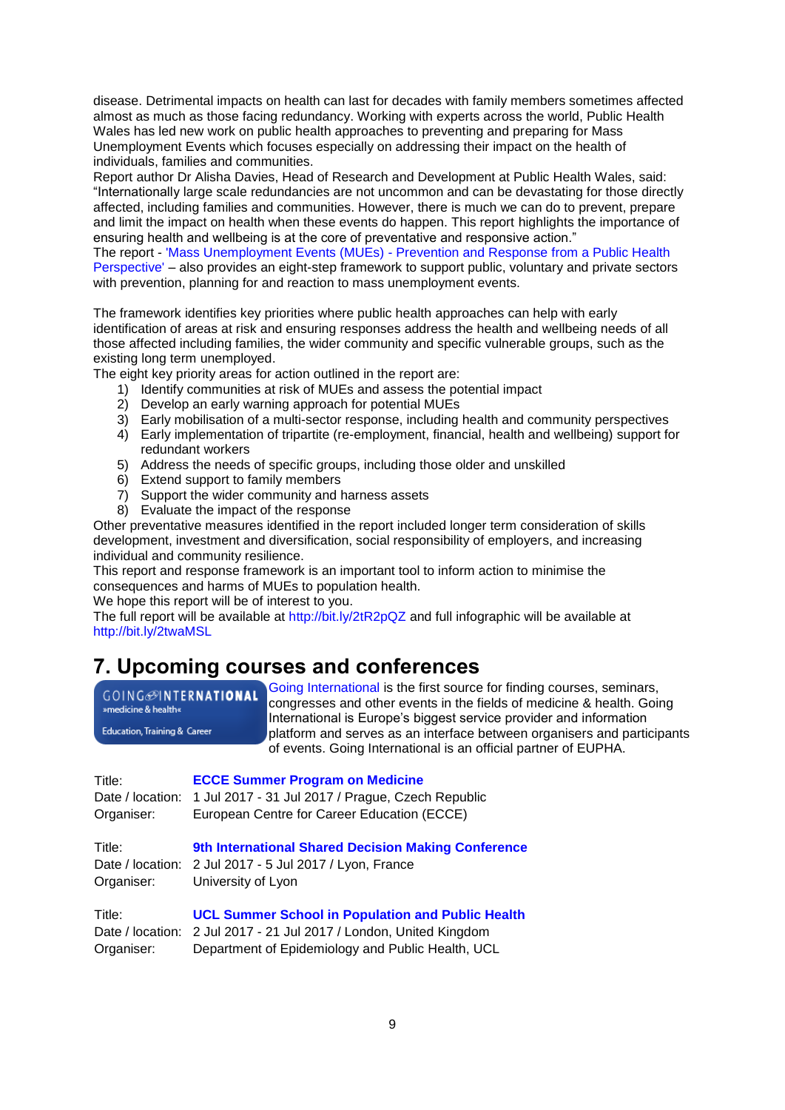disease. Detrimental impacts on health can last for decades with family members sometimes affected almost as much as those facing redundancy. Working with experts across the world, Public Health Wales has led new work on public health approaches to preventing and preparing for Mass Unemployment Events which focuses especially on addressing their impact on the health of individuals, families and communities.

Report author Dr Alisha Davies, Head of Research and Development at Public Health Wales, said: ―Internationally large scale redundancies are not uncommon and can be devastating for those directly affected, including families and communities. However, there is much we can do to prevent, prepare and limit the impact on health when these events do happen. This report highlights the importance of ensuring health and wellbeing is at the core of preventative and responsive action."

The report - 'Mass Unemployment Events (MUEs) - [Prevention and Response from a Public Health](http://bit.ly/2tR2pQZ)  [Perspective'](http://bit.ly/2tR2pQZ) – also provides an eight-step framework to support public, voluntary and private sectors with prevention, planning for and reaction to mass unemployment events.

The framework identifies key priorities where public health approaches can help with early identification of areas at risk and ensuring responses address the health and wellbeing needs of all those affected including families, the wider community and specific vulnerable groups, such as the existing long term unemployed.

The eight key priority areas for action outlined in the report are:

- 1) Identify communities at risk of MUEs and assess the potential impact
- 2) Develop an early warning approach for potential MUEs
- 3) Early mobilisation of a multi-sector response, including health and community perspectives
- 4) Early implementation of tripartite (re-employment, financial, health and wellbeing) support for redundant workers
- 5) Address the needs of specific groups, including those older and unskilled
- 6) Extend support to family members
- 7) Support the wider community and harness assets
- 8) Evaluate the impact of the response

Other preventative measures identified in the report included longer term consideration of skills development, investment and diversification, social responsibility of employers, and increasing individual and community resilience.

This report and response framework is an important tool to inform action to minimise the consequences and harms of MUEs to population health.

We hope this report will be of interest to you.

The full report will be available at<http://bit.ly/2tR2pQZ> and full infographic will be available at <http://bit.ly/2twaMSL>

## <span id="page-8-0"></span>**7. Upcoming courses and conferences**

**GOING**@INTERNATIONAL »medicine & health«

**Education, Training & Career** 

[Going International](http://www.goinginternational.eu/) is the first source for finding courses, seminars, congresses and other events in the fields of medicine & health. Going International is Europe's biggest service provider and information platform and serves as an interface between organisers and participants of events. Going International is an official partner of EUPHA.

| Title:           | <b>ECCE Summer Program on Medicine</b>                             |
|------------------|--------------------------------------------------------------------|
| Date / location: | 1 Jul 2017 - 31 Jul 2017 / Prague, Czech Republic                  |
| Organiser:       | European Centre for Career Education (ECCE)                        |
| Title:           | <b>9th International Shared Decision Making Conference</b>         |
| Date / location: | 2 Jul 2017 - 5 Jul 2017 / Lyon, France                             |
| Organiser:       | University of Lyon                                                 |
| Title:           | <b>UCL Summer School in Population and Public Health</b>           |
|                  | Date / location: 2 Jul 2017 - 21 Jul 2017 / London, United Kingdom |

Organiser: Department of Epidemiology and Public Health, UCL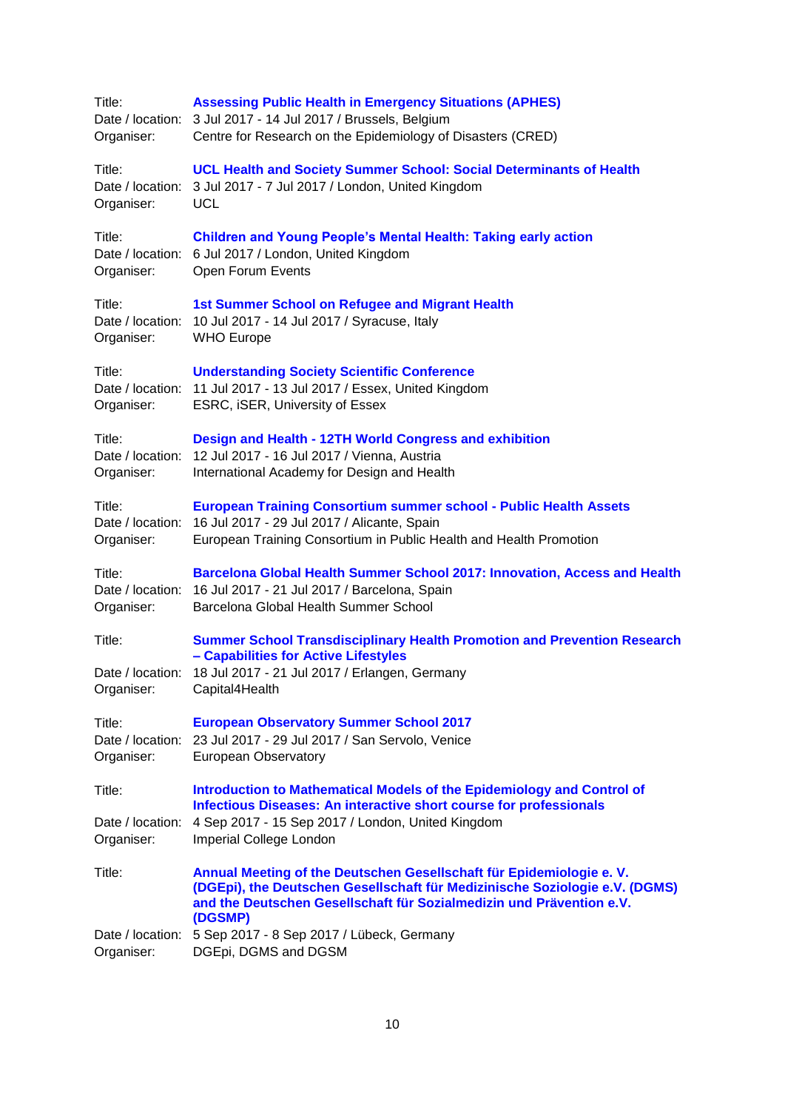| <b>Assessing Public Health in Emergency Situations (APHES)</b><br>Date / location:<br>3 Jul 2017 - 14 Jul 2017 / Brussels, Belgium<br>Centre for Research on the Epidemiology of Disasters (CRED)                                                                                                           |
|-------------------------------------------------------------------------------------------------------------------------------------------------------------------------------------------------------------------------------------------------------------------------------------------------------------|
| <b>UCL Health and Society Summer School: Social Determinants of Health</b><br>3 Jul 2017 - 7 Jul 2017 / London, United Kingdom<br><b>UCL</b>                                                                                                                                                                |
| <b>Children and Young People's Mental Health: Taking early action</b><br>Date / location: 6 Jul 2017 / London, United Kingdom<br>Open Forum Events                                                                                                                                                          |
| 1st Summer School on Refugee and Migrant Health<br>10 Jul 2017 - 14 Jul 2017 / Syracuse, Italy<br><b>WHO Europe</b>                                                                                                                                                                                         |
| <b>Understanding Society Scientific Conference</b><br>11 Jul 2017 - 13 Jul 2017 / Essex, United Kingdom<br>Date / location:<br>ESRC, iSER, University of Essex                                                                                                                                              |
| Design and Health - 12TH World Congress and exhibition<br>12 Jul 2017 - 16 Jul 2017 / Vienna, Austria<br>Date / location:<br>International Academy for Design and Health                                                                                                                                    |
| <b>European Training Consortium summer school - Public Health Assets</b><br>Date / location:<br>16 Jul 2017 - 29 Jul 2017 / Alicante, Spain<br>European Training Consortium in Public Health and Health Promotion                                                                                           |
| <b>Barcelona Global Health Summer School 2017: Innovation, Access and Health</b><br>Date / location:<br>16 Jul 2017 - 21 Jul 2017 / Barcelona, Spain<br>Barcelona Global Health Summer School                                                                                                               |
| <b>Summer School Transdisciplinary Health Promotion and Prevention Research</b><br>- Capabilities for Active Lifestyles<br>18 Jul 2017 - 21 Jul 2017 / Erlangen, Germany<br>Date / location:<br>Capital4Health                                                                                              |
| <b>European Observatory Summer School 2017</b><br>Date / location: 23 Jul 2017 - 29 Jul 2017 / San Servolo, Venice<br><b>European Observatory</b>                                                                                                                                                           |
| Introduction to Mathematical Models of the Epidemiology and Control of<br><b>Infectious Diseases: An interactive short course for professionals</b><br>4 Sep 2017 - 15 Sep 2017 / London, United Kingdom<br>Imperial College London                                                                         |
| Annual Meeting of the Deutschen Gesellschaft für Epidemiologie e. V.<br>(DGEpi), the Deutschen Gesellschaft für Medizinische Soziologie e.V. (DGMS)<br>and the Deutschen Gesellschaft für Sozialmedizin und Prävention e.V.<br>(DGSMP)<br>5 Sep 2017 - 8 Sep 2017 / Lübeck, Germany<br>DGEpi, DGMS and DGSM |
| Date / location:                                                                                                                                                                                                                                                                                            |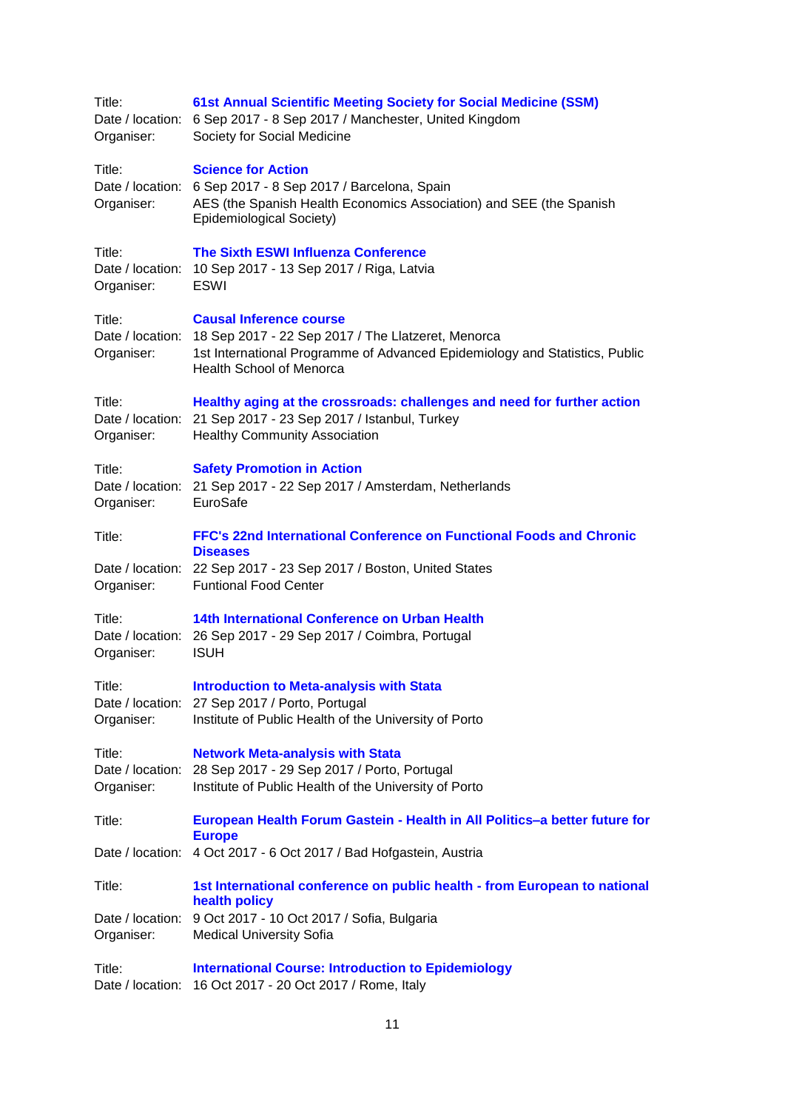| Title:<br>Organiser:                     | 61st Annual Scientific Meeting Society for Social Medicine (SSM)<br>Date / location: 6 Sep 2017 - 8 Sep 2017 / Manchester, United Kingdom<br>Society for Social Medicine                               |
|------------------------------------------|--------------------------------------------------------------------------------------------------------------------------------------------------------------------------------------------------------|
| Title:<br>Organiser:                     | <b>Science for Action</b><br>Date / location: 6 Sep 2017 - 8 Sep 2017 / Barcelona, Spain<br>AES (the Spanish Health Economics Association) and SEE (the Spanish<br>Epidemiological Society)            |
| Title:<br>Organiser:                     | <b>The Sixth ESWI Influenza Conference</b><br>Date / location: 10 Sep 2017 - 13 Sep 2017 / Riga, Latvia<br><b>ESWI</b>                                                                                 |
| Title:<br>Date / location:<br>Organiser: | <b>Causal Inference course</b><br>18 Sep 2017 - 22 Sep 2017 / The Llatzeret, Menorca<br>1st International Programme of Advanced Epidemiology and Statistics, Public<br><b>Health School of Menorca</b> |
| Title:<br>Organiser:                     | Healthy aging at the crossroads: challenges and need for further action<br>Date / location: 21 Sep 2017 - 23 Sep 2017 / Istanbul, Turkey<br><b>Healthy Community Association</b>                       |
| Title:<br>Organiser:                     | <b>Safety Promotion in Action</b><br>Date / location: 21 Sep 2017 - 22 Sep 2017 / Amsterdam, Netherlands<br>EuroSafe                                                                                   |
| Title:<br>Organiser:                     | FFC's 22nd International Conference on Functional Foods and Chronic<br><b>Diseases</b><br>Date / location: 22 Sep 2017 - 23 Sep 2017 / Boston, United States<br><b>Funtional Food Center</b>           |
| Title:<br>Organiser:                     | 14th International Conference on Urban Health<br>Date / location: 26 Sep 2017 - 29 Sep 2017 / Coimbra, Portugal<br><b>ISUH</b>                                                                         |
| Title:<br>Organiser:                     | <b>Introduction to Meta-analysis with Stata</b><br>Date / location: 27 Sep 2017 / Porto, Portugal<br>Institute of Public Health of the University of Porto                                             |
| Title:<br>Date / location:<br>Organiser: | <b>Network Meta-analysis with Stata</b><br>28 Sep 2017 - 29 Sep 2017 / Porto, Portugal<br>Institute of Public Health of the University of Porto                                                        |
| Title:                                   | European Health Forum Gastein - Health in All Politics-a better future for<br><b>Europe</b>                                                                                                            |
| Date / location:                         | 4 Oct 2017 - 6 Oct 2017 / Bad Hofgastein, Austria                                                                                                                                                      |
| Title:                                   | 1st International conference on public health - from European to national<br>health policy                                                                                                             |
| Organiser:                               | Date / location: 9 Oct 2017 - 10 Oct 2017 / Sofia, Bulgaria<br><b>Medical University Sofia</b>                                                                                                         |
| Title:                                   | <b>International Course: Introduction to Epidemiology</b><br>Date / location: 16 Oct 2017 - 20 Oct 2017 / Rome, Italy                                                                                  |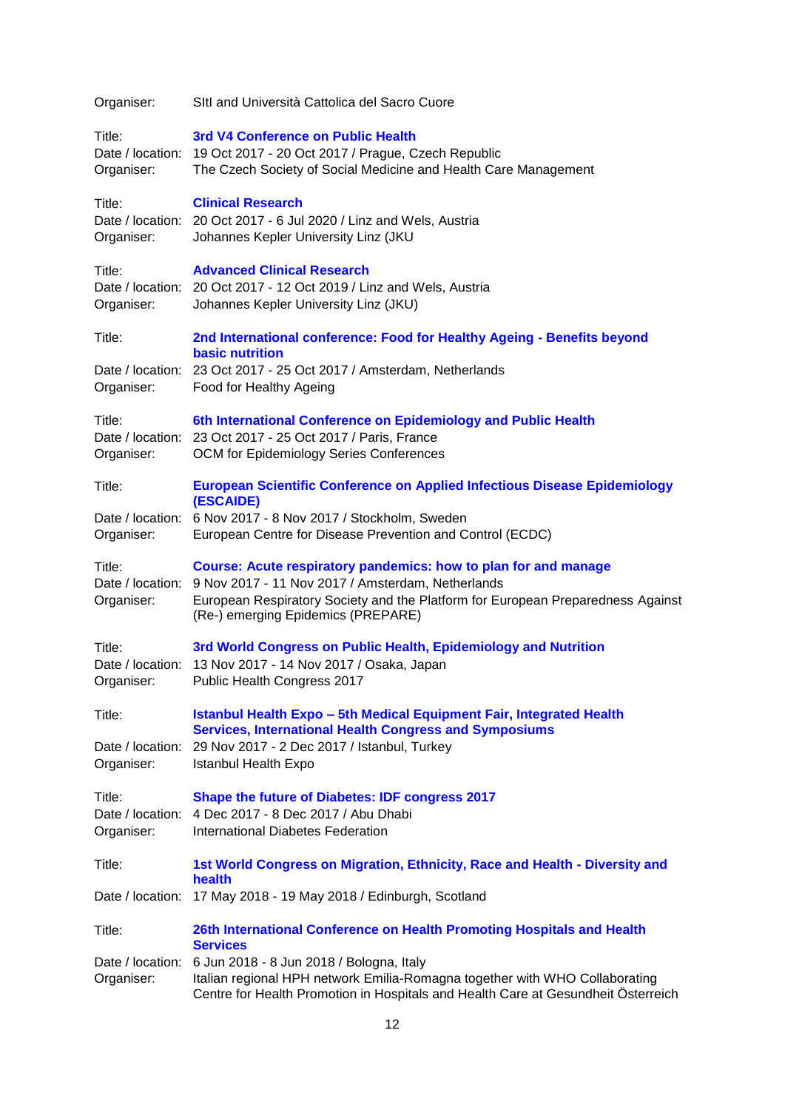| Organiser:                               | SItl and Università Cattolica del Sacro Cuore                                                                                                                                                                                                        |
|------------------------------------------|------------------------------------------------------------------------------------------------------------------------------------------------------------------------------------------------------------------------------------------------------|
| Title:<br>Organiser:                     | 3rd V4 Conference on Public Health<br>Date / location: 19 Oct 2017 - 20 Oct 2017 / Prague, Czech Republic<br>The Czech Society of Social Medicine and Health Care Management                                                                         |
| Title:<br>Organiser:                     | <b>Clinical Research</b><br>Date / location: 20 Oct 2017 - 6 Jul 2020 / Linz and Wels, Austria<br>Johannes Kepler University Linz (JKU                                                                                                               |
| Title:<br>Organiser:                     | <b>Advanced Clinical Research</b><br>Date / location: 20 Oct 2017 - 12 Oct 2019 / Linz and Wels, Austria<br>Johannes Kepler University Linz (JKU)                                                                                                    |
| Title:                                   | 2nd International conference: Food for Healthy Ageing - Benefits beyond<br><b>basic nutrition</b>                                                                                                                                                    |
| Organiser:                               | Date / location: 23 Oct 2017 - 25 Oct 2017 / Amsterdam, Netherlands<br>Food for Healthy Ageing                                                                                                                                                       |
| Title:<br>Organiser:                     | 6th International Conference on Epidemiology and Public Health<br>Date / location: 23 Oct 2017 - 25 Oct 2017 / Paris, France<br>OCM for Epidemiology Series Conferences                                                                              |
| Title:                                   | <b>European Scientific Conference on Applied Infectious Disease Epidemiology</b><br>(ESCAIDE)                                                                                                                                                        |
| Organiser:                               | Date / location: 6 Nov 2017 - 8 Nov 2017 / Stockholm, Sweden<br>European Centre for Disease Prevention and Control (ECDC)                                                                                                                            |
| Title:<br>Date / location:<br>Organiser: | <b>Course: Acute respiratory pandemics: how to plan for and manage</b><br>9 Nov 2017 - 11 Nov 2017 / Amsterdam, Netherlands<br>European Respiratory Society and the Platform for European Preparedness Against<br>(Re-) emerging Epidemics (PREPARE) |
| Title:<br>Organiser:                     | 3rd World Congress on Public Health, Epidemiology and Nutrition<br>Date / location: 13 Nov 2017 - 14 Nov 2017 / Osaka, Japan<br>Public Health Congress 2017                                                                                          |
| Title:                                   | <b>Istanbul Health Expo - 5th Medical Equipment Fair, Integrated Health</b>                                                                                                                                                                          |
| Date / location:<br>Organiser:           | <b>Services, International Health Congress and Symposiums</b><br>29 Nov 2017 - 2 Dec 2017 / Istanbul, Turkey<br><b>Istanbul Health Expo</b>                                                                                                          |
| Title:<br>Date / location:<br>Organiser: | Shape the future of Diabetes: IDF congress 2017<br>4 Dec 2017 - 8 Dec 2017 / Abu Dhabi<br>International Diabetes Federation                                                                                                                          |
| Title:                                   | 1st World Congress on Migration, Ethnicity, Race and Health - Diversity and<br>health                                                                                                                                                                |
| Date / location:                         | 17 May 2018 - 19 May 2018 / Edinburgh, Scotland                                                                                                                                                                                                      |
| Title:                                   | 26th International Conference on Health Promoting Hospitals and Health<br><b>Services</b>                                                                                                                                                            |
| Date / location:<br>Organiser:           | 6 Jun 2018 - 8 Jun 2018 / Bologna, Italy<br>Italian regional HPH network Emilia-Romagna together with WHO Collaborating<br>Centre for Health Promotion in Hospitals and Health Care at Gesundheit Österreich                                         |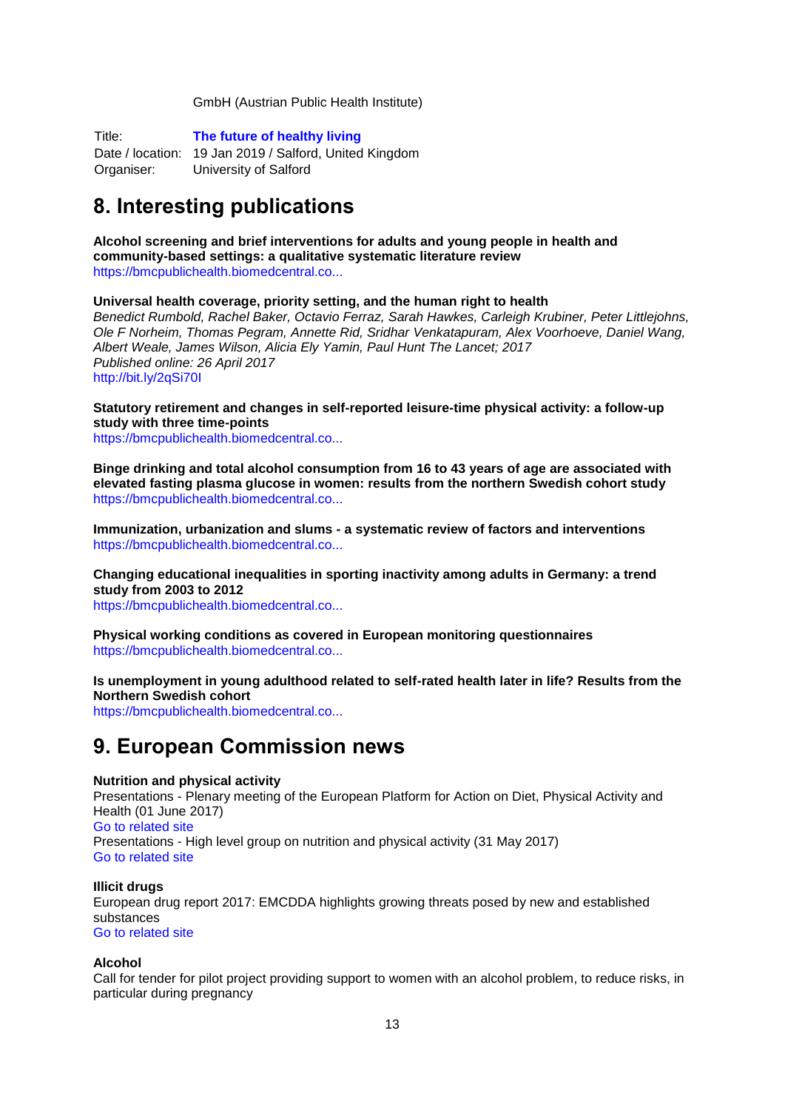GmbH (Austrian Public Health Institute)

Title: **[The future of healthy living](http://www.salford.ac.uk/onecpd/courses/the-future-of-healthy-living?utm_source=Salford%20Professional%20Development%20Ltd&utm_medium=email&utm_campaign=6490414_Healthy%20Living%20&dm_i=21L7,3V41A,GD76L3,DXE7U,1)**

Date / location: 19 Jan 2019 / Salford, United Kingdom Organiser: University of Salford

# <span id="page-12-0"></span>**8. Interesting publications**

**Alcohol screening and brief interventions for adults and young people in health and community-based settings: a qualitative systematic literature review** [https://bmcpublichealth.biomedcentral.co...](https://bmcpublichealth.biomedcentral.com/articles/10.1186/s12889-017-4476-4)

**Universal health coverage, priority setting, and the human right to health**

*Benedict Rumbold, Rachel Baker, Octavio Ferraz, Sarah Hawkes, Carleigh Krubiner, Peter Littlejohns, Ole F Norheim, Thomas Pegram, Annette Rid, Sridhar Venkatapuram, Alex Voorhoeve, Daniel Wang, Albert Weale, James Wilson, Alicia Ely Yamin, Paul Hunt The Lancet; 2017 Published online: 26 April 2017* <http://bit.ly/2qSi70I>

**Statutory retirement and changes in self-reported leisure-time physical activity: a follow-up study with three time-points**

[https://bmcpublichealth.biomedcentral.co...](https://bmcpublichealth.biomedcentral.com/articles/10.1186/s12889-017-4455-9)

**Binge drinking and total alcohol consumption from 16 to 43 years of age are associated with elevated fasting plasma glucose in women: results from the northern Swedish cohort study** [https://bmcpublichealth.biomedcentral.co...](https://bmcpublichealth.biomedcentral.com/articles/10.1186/s12889-017-4437-y)

**Immunization, urbanization and slums - a systematic review of factors and interventions** [https://bmcpublichealth.biomedcentral.co...](https://bmcpublichealth.biomedcentral.com/articles/10.1186/s12889-017-4473-7)

**Changing educational inequalities in sporting inactivity among adults in Germany: a trend study from 2003 to 2012**

[https://bmcpublichealth.biomedcentral.co...](https://bmcpublichealth.biomedcentral.com/articles/10.1186/s12889-017-4478-2)

**Physical working conditions as covered in European monitoring questionnaires** [https://bmcpublichealth.biomedcentral.co...](https://bmcpublichealth.biomedcentral.com/articles/10.1186/s12889-017-4465-7)

**Is unemployment in young adulthood related to self-rated health later in life? Results from the Northern Swedish cohort**

[https://bmcpublichealth.biomedcentral.co...](https://bmcpublichealth.biomedcentral.com/articles/10.1186/s12889-017-4460-z)

## <span id="page-12-1"></span>**9. European Commission news**

## **Nutrition and physical activity**

Presentations - Plenary meeting of the European Platform for Action on Diet, Physical Activity and Health (01 June 2017) [Go to related site](https://ec.europa.eu/health/nutrition_physical_activity/events/ev_20170601_en) Presentations - High level group on nutrition and physical activity (31 May 2017) [Go to related site](https://ec.europa.eu/health/nutrition_physical_activity/events/ev_20170531_en)

#### **Illicit drugs**

European drug report 2017: EMCDDA highlights growing threats posed by new and established substances [Go to related site](http://www.emcdda.europa.eu/edr2017)

## **Alcohol**

Call for tender for pilot project providing support to women with an alcohol problem, to reduce risks, in particular during pregnancy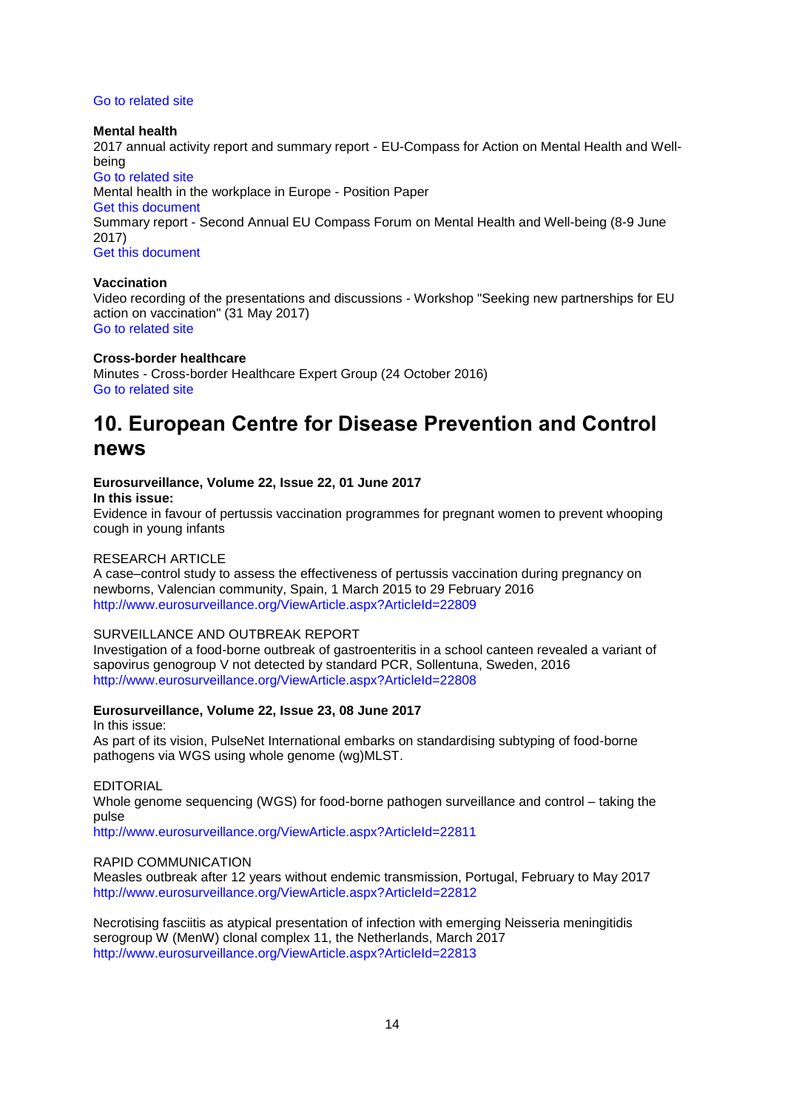#### [Go to related site](https://etendering.ted.europa.eu/cft/cft-display.html?cftId=2305andticket=ST-482926-mPSr11wKjMLJidvUSBHqK8mGRajhSTFW5AYir1YXmmo6Dg2bj54UF0zkAEtSzOzjWYmzk9oAczZ6m50zoF0OmAWW-Jj71zxYb8yrcIKCzfKFd4e-W9NwYIysvbqzi6Nr7a8grxZ5SbiLNGi6sDzdtG435cGG)

#### **Mental health**

2017 annual activity report and summary report - EU-Compass for Action on Mental Health and Wellbeing [Go to related](https://ec.europa.eu/health/mental_health/key_documents_en) site Mental health in the workplace in Europe - Position Paper [Get this document](https://ec.europa.eu/health/sites/health/files/mental_health/docs/2017_workplace_en.pdf) Summary report - Second Annual EU Compass Forum on Mental Health and Well-being (8-9 June 2017) [Get this document](https://ec.europa.eu/health/sites/health/files/mental_health/docs/ev_20170608_press_en.pdf)

#### **Vaccination**

Video recording of the presentations and discussions - Workshop "Seeking new partnerships for EU action on vaccination" (31 May 2017) [Go to related site](https://ec.europa.eu/health/vaccination/events/ev_20170531_en)

#### **Cross-border healthcare**

Minutes - Cross-border Healthcare Expert Group (24 October 2016) [Go to related site](https://ec.europa.eu/health/cross-border-healthcare-expert-group/201610242_en)

## <span id="page-13-0"></span>**10. European Centre for Disease Prevention and Control news**

## **Eurosurveillance, Volume 22, Issue 22, 01 June 2017**

**In this issue:**

Evidence in favour of pertussis vaccination programmes for pregnant women to prevent whooping cough in young infants

### RESEARCH ARTICLE

A case–control study to assess the effectiveness of pertussis vaccination during pregnancy on newborns, Valencian community, Spain, 1 March 2015 to 29 February 2016 <http://www.eurosurveillance.org/ViewArticle.aspx?ArticleId=22809>

#### SURVEILLANCE AND OUTBREAK REPORT

Investigation of a food-borne outbreak of gastroenteritis in a school canteen revealed a variant of sapovirus genogroup V not detected by standard PCR, Sollentuna, Sweden, 2016 <http://www.eurosurveillance.org/ViewArticle.aspx?ArticleId=22808>

## **Eurosurveillance, Volume 22, Issue 23, 08 June 2017**

In this issue: As part of its vision, PulseNet International embarks on standardising subtyping of food-borne pathogens via WGS using whole genome (wg)MLST.

EDITORIAL

Whole genome sequencing (WGS) for food-borne pathogen surveillance and control – taking the pulse

<http://www.eurosurveillance.org/ViewArticle.aspx?ArticleId=22811>

#### RAPID COMMUNICATION

Measles outbreak after 12 years without endemic transmission, Portugal, February to May 2017 <http://www.eurosurveillance.org/ViewArticle.aspx?ArticleId=22812>

Necrotising fasciitis as atypical presentation of infection with emerging Neisseria meningitidis serogroup W (MenW) clonal complex 11, the Netherlands, March 2017 <http://www.eurosurveillance.org/ViewArticle.aspx?ArticleId=22813>